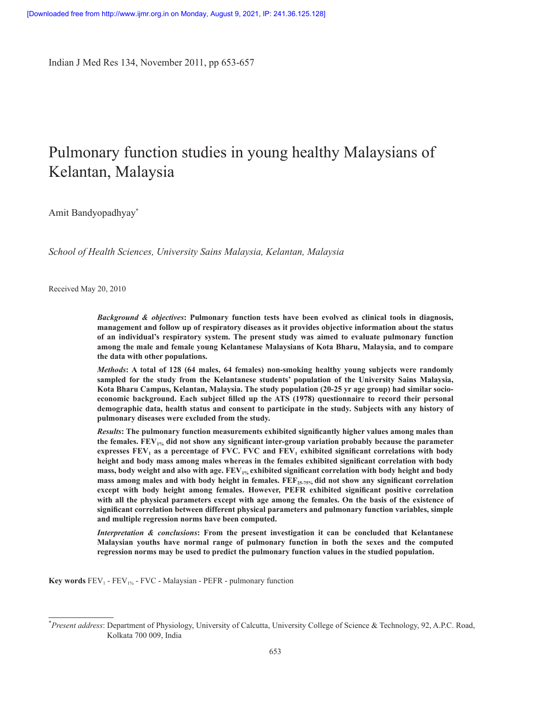Indian J Med Res 134, November 2011, pp 653-657

# Pulmonary function studies in young healthy Malaysians of Kelantan, Malaysia

Amit Bandyopadhyay\*

*School of Health Sciences, University Sains Malaysia, Kelantan, Malaysia*

Received May 20, 2010

*Background & objectives***: Pulmonary function tests have been evolved as clinical tools in diagnosis, management and follow up of respiratory diseases as it provides objective information about the status of an individual's respiratory system. The present study was aimed to evaluate pulmonary function among the male and female young Kelantanese Malaysians of Kota Bharu, Malaysia, and to compare the data with other populations.**

*Methods***: A total of 128 (64 males, 64 females) non-smoking healthy young subjects were randomly sampled for the study from the Kelantanese students' population of the University Sains Malaysia, Kota Bharu Campus, Kelantan, Malaysia. The study population (20-25 yr age group) had similar socioeconomic background. Each subject filled up the ATS (1978) questionnaire to record their personal demographic data, health status and consent to participate in the study. Subjects with any history of pulmonary diseases were excluded from the study.**

*Results***: The pulmonary function measurements exhibited significantly higher values among males than the females. FEV1% did not show any significant inter-group variation probably because the parameter expresses FEV<sup>1</sup> as a percentage of FVC. FVC and FEV<sup>1</sup> exhibited significant correlations with body height and body mass among males whereas in the females exhibited significant correlation with body mass, body weight and also with age. FEV1% exhibited significant correlation with body height and body mass among males and with body height in females. FEF25-75% did not show any significant correlation except with body height among females. However, PEFR exhibited significant positive correlation with all the physical parameters except with age among the females. On the basis of the existence of significant correlation between different physical parameters and pulmonary function variables, simple and multiple regression norms have been computed.**

*Interpretation & conclusions***: From the present investigation it can be concluded that Kelantanese Malaysian youths have normal range of pulmonary function in both the sexes and the computed regression norms may be used to predict the pulmonary function values in the studied population.** 

**Key words**  $FEV_1$  -  $FEV_{1%}$  -  $FVC$  - Malaysian -  $PEFR$  - pulmonary function

<sup>\*</sup>*Present address*: Department of Physiology, University of Calcutta, University College of Science & Technology, 92, A.P.C. Road, Kolkata 700 009, India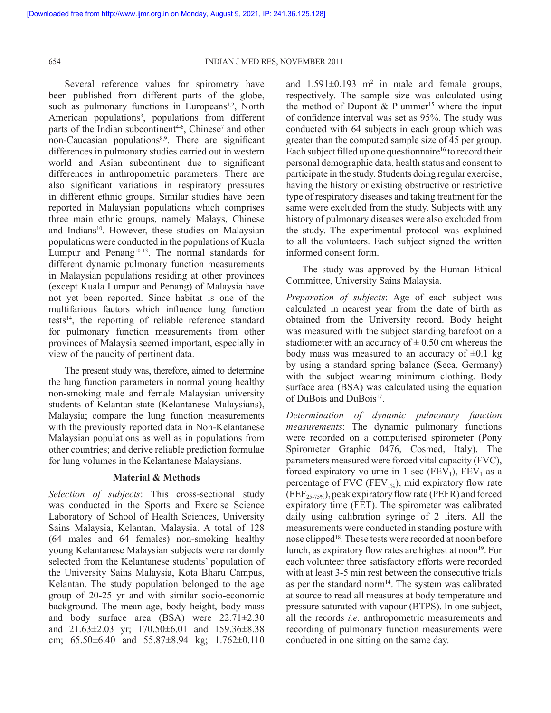Several reference values for spirometry have been published from different parts of the globe, such as pulmonary functions in Europeans<sup>1,2</sup>, North American populations<sup>3</sup>, populations from different parts of the Indian subcontinent<sup>4-6</sup>, Chinese<sup>7</sup> and other non-Caucasian populations<sup>8,9</sup>. There are significant differences in pulmonary studies carried out in western world and Asian subcontinent due to significant differences in anthropometric parameters. There are also significant variations in respiratory pressures in different ethnic groups. Similar studies have been reported in Malaysian populations which comprises three main ethnic groups, namely Malays, Chinese and Indians<sup>10</sup>. However, these studies on Malaysian populations were conducted in the populations of Kuala Lumpur and Penang<sup>10-13</sup>. The normal standards for different dynamic pulmonary function measurements in Malaysian populations residing at other provinces (except Kuala Lumpur and Penang) of Malaysia have not yet been reported. Since habitat is one of the multifarious factors which influence lung function tests $14$ , the reporting of reliable reference standard for pulmonary function measurements from other provinces of Malaysia seemed important, especially in view of the paucity of pertinent data.

 The present study was, therefore, aimed to determine the lung function parameters in normal young healthy non-smoking male and female Malaysian university students of Kelantan state (Kelantanese Malaysians), Malaysia; compare the lung function measurements with the previously reported data in Non-Kelantanese Malaysian populations as well as in populations from other countries; and derive reliable prediction formulae for lung volumes in the Kelantanese Malaysians.

## **Material & Methods**

*Selection of subjects*: This cross-sectional study was conducted in the Sports and Exercise Science Laboratory of School of Health Sciences, University Sains Malaysia, Kelantan, Malaysia. A total of 128 (64 males and 64 females) non-smoking healthy young Kelantanese Malaysian subjects were randomly selected from the Kelantanese students' population of the University Sains Malaysia, Kota Bharu Campus, Kelantan. The study population belonged to the age group of 20-25 yr and with similar socio-economic background. The mean age, body height, body mass and body surface area (BSA) were 22.71±2.30 and 21.63±2.03 yr; 170.50±6.01 and 159.36±8.38 cm; 65.50±6.40 and 55.87±8.94 kg; 1.762±0.110

and  $1.591 \pm 0.193$  m<sup>2</sup> in male and female groups, respectively. The sample size was calculated using the method of Dupont & Plummer<sup>15</sup> where the input of confidence interval was set as 95%. The study was conducted with 64 subjects in each group which was greater than the computed sample size of 45 per group. Each subject filled up one questionnaire<sup>16</sup> to record their personal demographic data, health status and consent to participate in the study. Students doing regular exercise, having the history or existing obstructive or restrictive type of respiratory diseases and taking treatment for the same were excluded from the study. Subjects with any history of pulmonary diseases were also excluded from the study. The experimental protocol was explained to all the volunteers. Each subject signed the written informed consent form.

 The study was approved by the Human Ethical Committee, University Sains Malaysia.

*Preparation of subjects*: Age of each subject was calculated in nearest year from the date of birth as obtained from the University record. Body height was measured with the subject standing barefoot on a stadiometer with an accuracy of  $\pm$  0.50 cm whereas the body mass was measured to an accuracy of  $\pm 0.1$  kg by using a standard spring balance (Seca, Germany) with the subject wearing minimum clothing. Body surface area (BSA) was calculated using the equation of DuBois and DuBois<sup>17</sup>.

*Determination of dynamic pulmonary function measurements*: The dynamic pulmonary functions were recorded on a computerised spirometer (Pony Spirometer Graphic 0476, Cosmed, Italy). The parameters measured were forced vital capacity (FVC), forced expiratory volume in 1 sec  $(FEV<sub>1</sub>)$ ,  $FEV<sub>1</sub>$  as a percentage of FVC (FEV<sub>1%</sub>), mid expiratory flow rate  $(FEF_{25-75\%})$ , peak expiratory flow rate (PEFR) and forced expiratory time (FET). The spirometer was calibrated daily using calibration syringe of 2 liters. All the measurements were conducted in standing posture with nose clipped<sup>18</sup>. These tests were recorded at noon before lunch, as expiratory flow rates are highest at noon<sup>19</sup>. For each volunteer three satisfactory efforts were recorded with at least 3-5 min rest between the consecutive trials as per the standard norm<sup>14</sup>. The system was calibrated at source to read all measures at body temperature and pressure saturated with vapour (BTPS). In one subject, all the records *i.e.* anthropometric measurements and recording of pulmonary function measurements were conducted in one sitting on the same day.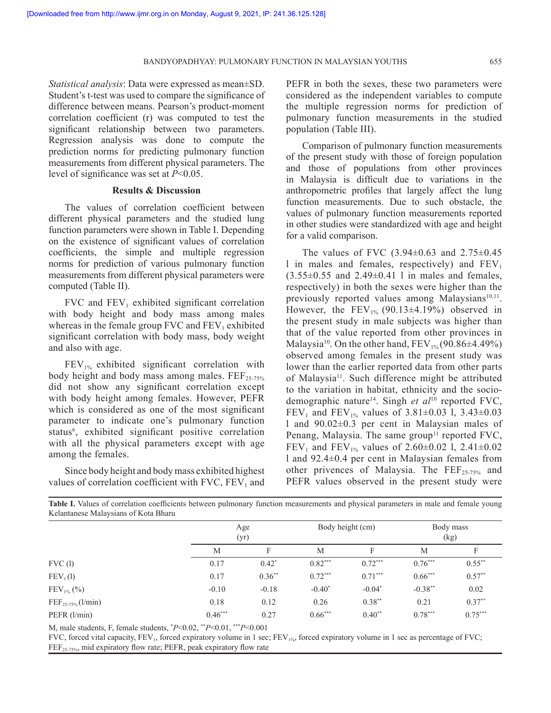*Statistical analysis*: Data were expressed as mean±SD. Student's t-test was used to compare the significance of difference between means. Pearson's product-moment correlation coefficient (r) was computed to test the significant relationship between two parameters. Regression analysis was done to compute the prediction norms for predicting pulmonary function measurements from different physical parameters. The level of significance was set at *P*<0.05.

## **Results & Discussion**

 The values of correlation coefficient between different physical parameters and the studied lung function parameters were shown in Table I. Depending on the existence of significant values of correlation coefficients, the simple and multiple regression norms for prediction of various pulmonary function measurements from different physical parameters were computed (Table II).

FVC and  $FEV_1$  exhibited significant correlation with body height and body mass among males whereas in the female group  $FVC$  and  $FEV_1$  exhibited significant correlation with body mass, body weight and also with age.

 $FEV<sub>1%</sub>$  exhibited significant correlation with body height and body mass among males.  $FEF_{25-75\%}$ did not show any significant correlation except with body height among females. However, PEFR which is considered as one of the most significant parameter to indicate one's pulmonary function status<sup>6</sup>, exhibited significant positive correlation with all the physical parameters except with age among the females.

 Since body height and body mass exhibited highest values of correlation coefficient with  $FVC$ ,  $FEV<sub>1</sub>$  and PEFR in both the sexes, these two parameters were considered as the independent variables to compute the multiple regression norms for prediction of pulmonary function measurements in the studied population (Table III).

 Comparison of pulmonary function measurements of the present study with those of foreign population and those of populations from other provinces in Malaysia is difficult due to variations in the anthropometric profiles that largely affect the lung function measurements. Due to such obstacle, the values of pulmonary function measurements reported in other studies were standardized with age and height for a valid comparison.

The values of FVC  $(3.94\pm0.63$  and  $2.75\pm0.45$ l in males and females, respectively) and  $FEV<sub>1</sub>$  $(3.55\pm0.55$  and  $2.49\pm0.41$  l in males and females, respectively) in both the sexes were higher than the previously reported values among Malaysians<sup>10,11</sup>. However, the  $FEV_{1%}$  (90.13±4.19%) observed in the present study in male subjects was higher than that of the value reported from other provinces in Malaysia<sup>10</sup>. On the other hand,  $FEV_{1\%}(90.86\pm4.49\%)$ observed among females in the present study was lower than the earlier reported data from other parts of Malaysia<sup>11</sup>. Such difference might be attributed to the variation in habitat, ethnicity and the sociodemographic nature<sup>14</sup>. Singh *et al*<sup>10</sup> reported FVC, FEV<sub>1</sub> and FEV<sub>1%</sub> values of 3.81 $\pm$ 0.03 l, 3.43 $\pm$ 0.03 l and 90.02±0.3 per cent in Malaysian males of Penang, Malaysia. The same group<sup>11</sup> reported FVC, FEV<sub>1</sub> and FEV<sub>1%</sub> values of 2.60 $\pm$ 0.02 l, 2.41 $\pm$ 0.02 l and 92.4±0.4 per cent in Malaysian females from other privences of Malaysia. The  $\text{FEF}_{25-75\%}$  and PEFR values observed in the present study were

|  |                                      |  |  | Table I. Values of correlation coefficients between pulmonary function measurements and physical parameters in male and female young |  |  |  |
|--|--------------------------------------|--|--|--------------------------------------------------------------------------------------------------------------------------------------|--|--|--|
|  | Kelantanese Malaysians of Kota Bharu |  |  |                                                                                                                                      |  |  |  |

|                             | Age<br>(yr) |          |           | Body height (cm) | Body mass<br>(kg) |           |  |
|-----------------------------|-------------|----------|-----------|------------------|-------------------|-----------|--|
|                             | M           | F        | М         | F                | M                 | F         |  |
| FVC(1)                      | 0.17        | $0.42^*$ | $0.82***$ | $0.72***$        | $0.76***$         | $0.55***$ |  |
| FEV <sub>1</sub> (1)        | 0.17        | $0.36**$ | $0.72***$ | $0.71***$        | $0.66***$         | $0.57**$  |  |
| $FEV_{1\%}$ (%)             | $-0.10$     | $-0.18$  | $-0.40*$  | $-0.04*$         | $-0.38**$         | 0.02      |  |
| $\rm{FEF}_{25-75\%}(l/min)$ | 0.18        | 0.12     | 0.26      | $0.38**$         | 0.21              | $0.37**$  |  |
| PEFR $(l/min)$              | $0.46***$   | 0.27     | $0.66***$ | $0.40**$         | $0.78***$         | $0.75***$ |  |

M, male students, F, female students, \**P*<0.02, \*\**P*<0.01, \*\*\**P*<0.001

FVC, forced vital capacity, FEV<sub>1</sub>, forced expiratory volume in 1 sec; FEV<sub>1%</sub>, forced expiratory volume in 1 sec as percentage of FVC; FEF<sub>25-75%</sub>, mid expiratory flow rate; PEFR, peak expiratory flow rate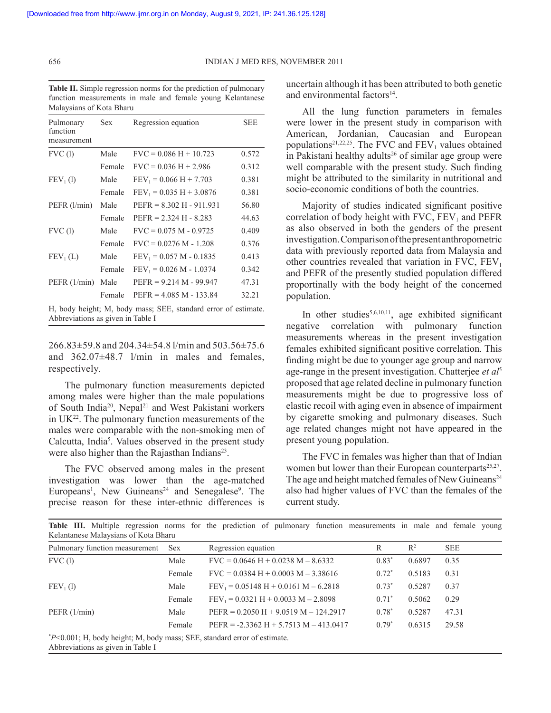**Table II.** Simple regression norms for the prediction of pulmonary function measurements in male and female young Kelantanese Malaysians of Kota Bharu

| Pulmonary               | <b>Sex</b> | Regression equation        | SEE   |
|-------------------------|------------|----------------------------|-------|
| function<br>measurement |            |                            |       |
| FVC(1)                  | Male       | $FVC = 0.086 H + 10.723$   | 0.572 |
|                         | Female     | $FVC = 0.036 H + 2.986$    | 0.312 |
| FEV <sub>1</sub> (1)    | Male       | $FEV_1 = 0.066 H + 7.703$  | 0.381 |
|                         | Female     | $FEV_1 = 0.035 H + 3.0876$ | 0.381 |
| PEFR (l/min)            | Male       | $PEFR = 8.302 H - 911.931$ | 56.80 |
|                         | Female     | $PEFR = 2.324 H - 8.283$   | 44.63 |
| FVC(1)                  | Male       | $FVC = 0.075 M - 0.9725$   | 0.409 |
|                         | Female     | $FVC = 0.0276 M - 1.208$   | 0.376 |
| FEV <sub>1</sub> (L)    | Male       | $FEV_1 = 0.057 M - 0.1835$ | 0.413 |
|                         | Female     | $FEV_1 = 0.026 M - 1.0374$ | 0.342 |
| PEFR (1/min)            | Male       | $PEFR = 9.214 M - 99.947$  | 47.31 |
|                         | Female     | $PEFR = 4.085 M - 133.84$  | 32.21 |
|                         |            |                            |       |

H, body height; M, body mass; SEE, standard error of estimate. Abbreviations as given in Table I

266.83±59.8 and 204.34±54.8 l/min and 503.56±75.6 and 362.07±48.7 l/min in males and females, respectively.

 The pulmonary function measurements depicted among males were higher than the male populations of South India<sup>20</sup>, Nepal<sup>21</sup> and West Pakistani workers in  $UK<sup>22</sup>$ . The pulmonary function measurements of the males were comparable with the non-smoking men of Calcutta, India<sup>5</sup>. Values observed in the present study were also higher than the Rajasthan Indians<sup>23</sup>.

 The FVC observed among males in the present investigation was lower than the age-matched Europeans<sup>1</sup>, New Guineans<sup>24</sup> and Senegalese<sup>9</sup>. The precise reason for these inter-ethnic differences is

uncertain although it has been attributed to both genetic and environmental factors<sup>14</sup>.

 All the lung function parameters in females were lower in the present study in comparison with American, Jordanian, Caucasian and European populations<sup>21,22,25</sup>. The FVC and  $FEV_1$  values obtained in Pakistani healthy adults<sup>26</sup> of similar age group were well comparable with the present study. Such finding might be attributed to the similarity in nutritional and socio-economic conditions of both the countries.

 Majority of studies indicated significant positive correlation of body height with  $FVC$ ,  $FEV<sub>1</sub>$  and  $PEFR$ as also observed in both the genders of the present investigation. Comparison of the present anthropometric data with previously reported data from Malaysia and other countries revealed that variation in FVC,  $FEV<sub>1</sub>$ and PEFR of the presently studied population differed proportinally with the body height of the concerned population.

In other studies<sup>5,6,10,11</sup>, age exhibited significant negative correlation with pulmonary function measurements whereas in the present investigation females exhibited significant positive correlation. This finding might be due to younger age group and narrow age-range in the present investigation. Chatterjee *et al*<sup>5</sup> proposed that age related decline in pulmonary function measurements might be due to progressive loss of elastic recoil with aging even in absence of impairment by cigarette smoking and pulmonary diseases. Such age related changes might not have appeared in the present young population.

 The FVC in females was higher than that of Indian women but lower than their European counterparts<sup>25,27</sup>. The age and height matched females of New Guineans<sup>24</sup> also had higher values of FVC than the females of the current study.

| Kelantanese Malaysians of Kota Bharu                                       |            | Table III. Multiple regression norms for the prediction of pulmonary function measurements in male and female young |          |                |            |  |
|----------------------------------------------------------------------------|------------|---------------------------------------------------------------------------------------------------------------------|----------|----------------|------------|--|
| Pulmonary function measurement                                             | <b>Sex</b> | Regression equation                                                                                                 | R        | $\mathbb{R}^2$ | <b>SEE</b> |  |
| FVC(1)                                                                     | Male       | $FVC = 0.0646 H + 0.0238 M - 8.6332$                                                                                | $0.83*$  | 0.6897         | 0.35       |  |
|                                                                            | Female     | $FVC = 0.0384 H + 0.0003 M - 3.38616$                                                                               | $0.72*$  | 0.5183         | 0.31       |  |
| FEV <sub>1</sub> (1)                                                       | Male       | $FEV_1 = 0.05148 H + 0.0161 M - 6.2818$                                                                             | $0.73*$  | 0.5287         | 0.37       |  |
|                                                                            | Female     | $FEV_1 = 0.0321 H + 0.0033 M - 2.8098$                                                                              | $0.71^*$ | 0.5062         | 0.29       |  |
| PEFR $(1/min)$                                                             | Male       | $PEFR = 0.2050 H + 9.0519 M - 124.2917$                                                                             | $0.78*$  | 0.5287         | 47.31      |  |
|                                                                            | Female     | $PEFR = -2.3362 H + 5.7513 M - 413.0417$                                                                            | $0.79*$  | 0.6315         | 29.58      |  |
| $P<0.001$ ; H, body height; M, body mass; SEE, standard error of estimate. |            |                                                                                                                     |          |                |            |  |

Abbreviations as given in Table I